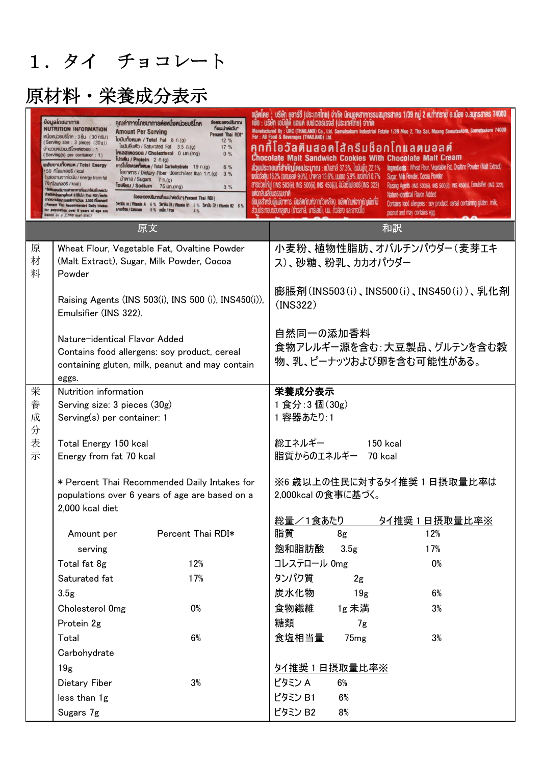# 1.タイ チョコレート

|             | ข้อมูลโทชนาการ<br>คุณค่าทางโทชนาการต่องนึ่งหน่วยบริโกค<br><b>Šeua:ueoušunnu</b><br>ที่แนะน่าต่อวัน"<br><b>NUTRITION INFORMATION</b><br><b>Amount Per Serving</b><br>Percent Thai RDI*<br>$m$ นึ่งหน่วยบริโภค: 3 ชิ้น (30 กรัม)<br>Tuūurīonun / Total Fat 8 n.(g)<br>12%<br>(Serving size: 3 pieces (30g))<br>ไขมันอื่นตัว / Saturated Fat 3.5 n.(g)<br>17 %<br>จำนวนหน่วยบริโภคต่อซอง: 1<br>Intaatnesea / Cholesterol 0 Un.(mg)<br>0%<br>(Serving(s) per container : 1)<br>lusilu / Protein 2 n.(g)<br>แล้งงานทั้งหมด / Total Energy<br>Ansiulations of Total Carbohydrate 19 n.(g)<br>6%<br>50 naunaes / kcal<br>leanms / Dietary Fiber Lieendr/less than 1 n.(g) 3 %<br>(แล้งงานจากไขมัน / Energy from fat<br>una / Sugars 7 n.(g)<br>70 niaunaoš / kcai)<br>Tum 75 un. (mg)<br>3%<br>รียยนอยูงเรียวกับสายงาหายที่แนะนำให้บริโภคพ่อวัน<br>nhad (IGR Isn't) Uludd a haoligraeninubert<br>Saeacoerousunnuntuuruhwiedu* (Percent Thai RDI)<br><b>Information out autonomic Promission of</b><br>5miliu 18 / Vitamin A 6% 5miliu 01 / Vitamin 81 6% 5miliu 02 / Vitamin 82 8%<br><b>Percent That Recommended Daily Intakes</b><br><b>LA316BU / Calcium</b><br>6 % unan / Iron<br>for population over 6 years of age are<br>based on a 2,000 kcal diet.) | wārine : Usēn genst (Us:Infine) จำกัด นิคมอูตสาหกรรมสมุทรสาคร 1/39 หมู่ 2 ต.ท่าทราย อ.เมือง จ.สมุทรสาคร 74000<br>แมือ : บริษัท เอบีเปิดี แอนด์ เบฟเวอร์เรจส์ (ประเทศไทย) จำกัด<br>Manufactured By : URC (THAILAND) Co., Ltd. Samutsakorn Industrial Estate 1/39 Moo 2, Tha Sai, Muang Samutsakorn, Samutsakorn 74000<br>For: AB Food & Beverages (THAILAND) Ltd.<br>คกกีโอวัลตินสอดไส้ครีมช็อกโกแลตมอลต์<br>Chocolate Malt Sandwich Cookies With Chocolate Malt Cream<br>ส่วนประกอบที่สำคัญโดยประมาณ : แป้งสาลี 37.3%, ไขมันพืช 22.1%<br>Ingredients : Wheat Flour, Vegetable Fat, Ovaitine Powder (Malt Extract)<br>utoladarju 16.2% (wouaari 9.0%), uhrma 13.6%, uuuto 5,9%, wolnin 0.7% Sugar, Milk Powder, Cocoa Powder<br>a Sudelmų (INS 503(ii), INS 500(ii), INS 450(i)), aliaišluliaas (INS 322)<br>Raising Agents (INS 503(ii), INS 500(ii), INS 450(i)), Emulsifier (INS 322)<br><b>JAULISSSLUYIA</b><br>Nature-identical Flavor Added<br>ข้อมูลสำหรับพู้แม้อาหาร : มีพลิตกัณฑ์จากถั่วเหลือง, พลิตกัณฑ์จากรัญพืชที่มี<br>Contains food allergens : soy product, cereal containing gluten, milk,<br>ส่วนประกอบของกลเตน (ข้าวสาลี, บาร์เลย์), นม, ถึงลิสง และอาจมีไข่<br>peanut and may contains egg. |
|-------------|-------------------------------------------------------------------------------------------------------------------------------------------------------------------------------------------------------------------------------------------------------------------------------------------------------------------------------------------------------------------------------------------------------------------------------------------------------------------------------------------------------------------------------------------------------------------------------------------------------------------------------------------------------------------------------------------------------------------------------------------------------------------------------------------------------------------------------------------------------------------------------------------------------------------------------------------------------------------------------------------------------------------------------------------------------------------------------------------------------------------------------------------------------------------------------------------------------------------------------------------------------|---------------------------------------------------------------------------------------------------------------------------------------------------------------------------------------------------------------------------------------------------------------------------------------------------------------------------------------------------------------------------------------------------------------------------------------------------------------------------------------------------------------------------------------------------------------------------------------------------------------------------------------------------------------------------------------------------------------------------------------------------------------------------------------------------------------------------------------------------------------------------------------------------------------------------------------------------------------------------------------------------------------------------------------------------------------------------------------------------------------------------------------------------------------------------------------------------------------|
|             | 原文                                                                                                                                                                                                                                                                                                                                                                                                                                                                                                                                                                                                                                                                                                                                                                                                                                                                                                                                                                                                                                                                                                                                                                                                                                                    | 和訳                                                                                                                                                                                                                                                                                                                                                                                                                                                                                                                                                                                                                                                                                                                                                                                                                                                                                                                                                                                                                                                                                                                                                                                                            |
| 原<br>材<br>料 | Wheat Flour, Vegetable Fat, Ovaltine Powder<br>(Malt Extract), Sugar, Milk Powder, Cocoa<br>Powder                                                                                                                                                                                                                                                                                                                                                                                                                                                                                                                                                                                                                                                                                                                                                                                                                                                                                                                                                                                                                                                                                                                                                    | 小麦粉、植物性脂肪、オバルチンパウダー(麦芽エキ<br>ス)、砂糖、粉乳、カカオパウダー                                                                                                                                                                                                                                                                                                                                                                                                                                                                                                                                                                                                                                                                                                                                                                                                                                                                                                                                                                                                                                                                                                                                                                  |
|             | Raising Agents (INS 503(i), INS 500 (i), INS450(i)),<br>Emulsifier (INS 322).                                                                                                                                                                                                                                                                                                                                                                                                                                                                                                                                                                                                                                                                                                                                                                                                                                                                                                                                                                                                                                                                                                                                                                         | 膨脹剤(INS503(i)、INS500(i)、INS450(i))、乳化剤<br>(INS322)                                                                                                                                                                                                                                                                                                                                                                                                                                                                                                                                                                                                                                                                                                                                                                                                                                                                                                                                                                                                                                                                                                                                                            |
|             | Nature-identical Flavor Added<br>Contains food allergens: soy product, cereal<br>containing gluten, milk, peanut and may contain<br>eggs.                                                                                                                                                                                                                                                                                                                                                                                                                                                                                                                                                                                                                                                                                                                                                                                                                                                                                                                                                                                                                                                                                                             | 自然同一の添加香料<br>食物アレルギー源を含む:大豆製品、グルテンを含む穀<br>物、乳、ピーナッツおよび卵を含む可能性がある。                                                                                                                                                                                                                                                                                                                                                                                                                                                                                                                                                                                                                                                                                                                                                                                                                                                                                                                                                                                                                                                                                                                                             |
| 栄           | Nutrition information                                                                                                                                                                                                                                                                                                                                                                                                                                                                                                                                                                                                                                                                                                                                                                                                                                                                                                                                                                                                                                                                                                                                                                                                                                 | 栄養成分表示                                                                                                                                                                                                                                                                                                                                                                                                                                                                                                                                                                                                                                                                                                                                                                                                                                                                                                                                                                                                                                                                                                                                                                                                        |
| 養<br>成<br>分 | Serving size: 3 pieces (30g)<br>Serving(s) per container: 1                                                                                                                                                                                                                                                                                                                                                                                                                                                                                                                                                                                                                                                                                                                                                                                                                                                                                                                                                                                                                                                                                                                                                                                           | 1食分:3個(30g)<br>1 容器あたり:1                                                                                                                                                                                                                                                                                                                                                                                                                                                                                                                                                                                                                                                                                                                                                                                                                                                                                                                                                                                                                                                                                                                                                                                      |
| 表           | Total Energy 150 kcal                                                                                                                                                                                                                                                                                                                                                                                                                                                                                                                                                                                                                                                                                                                                                                                                                                                                                                                                                                                                                                                                                                                                                                                                                                 | 総エネルギー<br>150 kcal                                                                                                                                                                                                                                                                                                                                                                                                                                                                                                                                                                                                                                                                                                                                                                                                                                                                                                                                                                                                                                                                                                                                                                                            |
| 示           | Energy from fat 70 kcal                                                                                                                                                                                                                                                                                                                                                                                                                                                                                                                                                                                                                                                                                                                                                                                                                                                                                                                                                                                                                                                                                                                                                                                                                               | 脂質からのエネルギー 70 kcal                                                                                                                                                                                                                                                                                                                                                                                                                                                                                                                                                                                                                                                                                                                                                                                                                                                                                                                                                                                                                                                                                                                                                                                            |
|             | * Percent Thai Recommended Daily Intakes for<br>populations over 6 years of age are based on a<br>2,000 kcal diet                                                                                                                                                                                                                                                                                                                                                                                                                                                                                                                                                                                                                                                                                                                                                                                                                                                                                                                                                                                                                                                                                                                                     | ※6 歳以上の住民に対するタイ推奨 1 日摂取量比率は<br>2,000kcal の食事に基づく。                                                                                                                                                                                                                                                                                                                                                                                                                                                                                                                                                                                                                                                                                                                                                                                                                                                                                                                                                                                                                                                                                                                                                             |
|             |                                                                                                                                                                                                                                                                                                                                                                                                                                                                                                                                                                                                                                                                                                                                                                                                                                                                                                                                                                                                                                                                                                                                                                                                                                                       | 総量/1食あたり<br>タイ推奨1日摂取量比率※                                                                                                                                                                                                                                                                                                                                                                                                                                                                                                                                                                                                                                                                                                                                                                                                                                                                                                                                                                                                                                                                                                                                                                                      |
|             | Percent Thai RDI*<br>Amount per                                                                                                                                                                                                                                                                                                                                                                                                                                                                                                                                                                                                                                                                                                                                                                                                                                                                                                                                                                                                                                                                                                                                                                                                                       | 脂質<br>12%<br>8g                                                                                                                                                                                                                                                                                                                                                                                                                                                                                                                                                                                                                                                                                                                                                                                                                                                                                                                                                                                                                                                                                                                                                                                               |
|             | serving                                                                                                                                                                                                                                                                                                                                                                                                                                                                                                                                                                                                                                                                                                                                                                                                                                                                                                                                                                                                                                                                                                                                                                                                                                               | 飽和脂肪酸<br>17%<br>3.5 <sub>g</sub>                                                                                                                                                                                                                                                                                                                                                                                                                                                                                                                                                                                                                                                                                                                                                                                                                                                                                                                                                                                                                                                                                                                                                                              |
|             | 12%<br>Total fat 8g                                                                                                                                                                                                                                                                                                                                                                                                                                                                                                                                                                                                                                                                                                                                                                                                                                                                                                                                                                                                                                                                                                                                                                                                                                   | コレステロール Omg<br>0%                                                                                                                                                                                                                                                                                                                                                                                                                                                                                                                                                                                                                                                                                                                                                                                                                                                                                                                                                                                                                                                                                                                                                                                             |
|             | 17%<br>Saturated fat                                                                                                                                                                                                                                                                                                                                                                                                                                                                                                                                                                                                                                                                                                                                                                                                                                                                                                                                                                                                                                                                                                                                                                                                                                  | タンパク質<br>2g                                                                                                                                                                                                                                                                                                                                                                                                                                                                                                                                                                                                                                                                                                                                                                                                                                                                                                                                                                                                                                                                                                                                                                                                   |
|             | 3.5 <sub>g</sub>                                                                                                                                                                                                                                                                                                                                                                                                                                                                                                                                                                                                                                                                                                                                                                                                                                                                                                                                                                                                                                                                                                                                                                                                                                      | 炭水化物<br>19 <sub>g</sub><br>6%                                                                                                                                                                                                                                                                                                                                                                                                                                                                                                                                                                                                                                                                                                                                                                                                                                                                                                                                                                                                                                                                                                                                                                                 |
|             | Cholesterol Omg<br>0%                                                                                                                                                                                                                                                                                                                                                                                                                                                                                                                                                                                                                                                                                                                                                                                                                                                                                                                                                                                                                                                                                                                                                                                                                                 | 食物繊維<br>1g 未満<br>3%                                                                                                                                                                                                                                                                                                                                                                                                                                                                                                                                                                                                                                                                                                                                                                                                                                                                                                                                                                                                                                                                                                                                                                                           |
|             | Protein 2g                                                                                                                                                                                                                                                                                                                                                                                                                                                                                                                                                                                                                                                                                                                                                                                                                                                                                                                                                                                                                                                                                                                                                                                                                                            | 糖類<br>7g                                                                                                                                                                                                                                                                                                                                                                                                                                                                                                                                                                                                                                                                                                                                                                                                                                                                                                                                                                                                                                                                                                                                                                                                      |
|             | 6%<br>Total                                                                                                                                                                                                                                                                                                                                                                                                                                                                                                                                                                                                                                                                                                                                                                                                                                                                                                                                                                                                                                                                                                                                                                                                                                           | 食塩相当量<br>3%<br>75 <sub>mg</sub>                                                                                                                                                                                                                                                                                                                                                                                                                                                                                                                                                                                                                                                                                                                                                                                                                                                                                                                                                                                                                                                                                                                                                                               |
|             | Carbohydrate                                                                                                                                                                                                                                                                                                                                                                                                                                                                                                                                                                                                                                                                                                                                                                                                                                                                                                                                                                                                                                                                                                                                                                                                                                          |                                                                                                                                                                                                                                                                                                                                                                                                                                                                                                                                                                                                                                                                                                                                                                                                                                                                                                                                                                                                                                                                                                                                                                                                               |
|             | 19 <sub>g</sub><br>3%<br>Dietary Fiber                                                                                                                                                                                                                                                                                                                                                                                                                                                                                                                                                                                                                                                                                                                                                                                                                                                                                                                                                                                                                                                                                                                                                                                                                | 9イ推奨1日摂取量比率※<br>ビタミン A<br>6%                                                                                                                                                                                                                                                                                                                                                                                                                                                                                                                                                                                                                                                                                                                                                                                                                                                                                                                                                                                                                                                                                                                                                                                  |
|             | less than 1g                                                                                                                                                                                                                                                                                                                                                                                                                                                                                                                                                                                                                                                                                                                                                                                                                                                                                                                                                                                                                                                                                                                                                                                                                                          | ビタミン B1<br>6%                                                                                                                                                                                                                                                                                                                                                                                                                                                                                                                                                                                                                                                                                                                                                                                                                                                                                                                                                                                                                                                                                                                                                                                                 |
|             | Sugars 7g                                                                                                                                                                                                                                                                                                                                                                                                                                                                                                                                                                                                                                                                                                                                                                                                                                                                                                                                                                                                                                                                                                                                                                                                                                             | ビタミン B2<br>8%                                                                                                                                                                                                                                                                                                                                                                                                                                                                                                                                                                                                                                                                                                                                                                                                                                                                                                                                                                                                                                                                                                                                                                                                 |
|             |                                                                                                                                                                                                                                                                                                                                                                                                                                                                                                                                                                                                                                                                                                                                                                                                                                                                                                                                                                                                                                                                                                                                                                                                                                                       |                                                                                                                                                                                                                                                                                                                                                                                                                                                                                                                                                                                                                                                                                                                                                                                                                                                                                                                                                                                                                                                                                                                                                                                                               |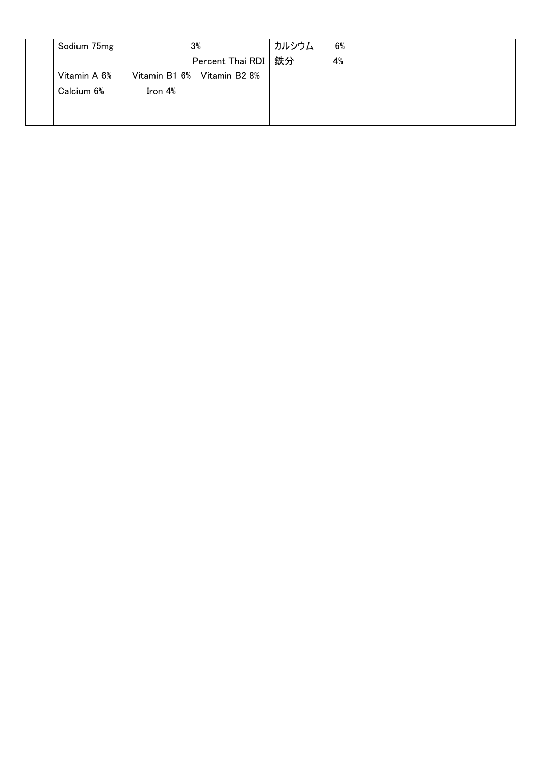| Sodium 75mg  | 3%      |                             | カルシウム | 6% |
|--------------|---------|-----------------------------|-------|----|
|              |         | Percent Thai RDI   鉄分       |       | 4% |
| Vitamin A 6% |         | Vitamin B1 6% Vitamin B2 8% |       |    |
| Calcium 6%   | Iron 4% |                             |       |    |
|              |         |                             |       |    |
|              |         |                             |       |    |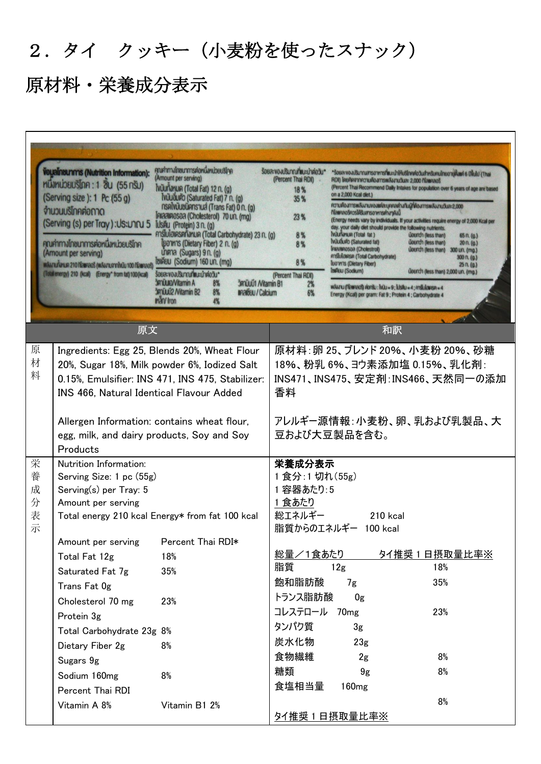# 2.タイ クッキー(小麦粉を使ったスナック)

| คุณศาทางไทยนาการค่อหนึ่งหน่วยบริโภค<br><b>Voualnaunms (Nutrition Information):</b><br>(Amount per serving)<br>ทนิ่งหน่วยบริโภค: 1 ซิ้น (55 กรัม)<br>ไฟนับทั้งหมด (Total Fat) 12 n. (g)<br>(Serving size): 1 Pc (55 g)<br>ไฟมันอื่นตัว (Saturated Fat) 7 n. (g)<br>nsalvūuoūans lua (Trans Fat) 0 n. (g)<br>จำนวนบริโทคต่อถาด<br>Iniaainosoa (Cholesterol) 70 un. (mg)<br>(Serving (s) per Tray): Us: UnQ 5<br>IUSFIU (Protein) 3 n. (g)<br>คาร์โบไฮเครตทั้งหมด (Total Carbohydrate) 23 n. (g)<br>คุณค่าทางโทชนาการค่อหนึ่งหน่วยบริโภค<br>(yonn's (Dietary Fiber) 2 n. (g)<br>unma (Sugars) $9n$ . (g)<br>(Amount per serving)<br>толи (Sodium) 160 un. (mg)<br>พลิงานทั้งหมด 210 ที่ใสยคลอริ (พลิงานจากไพนิน 100 ที่ใสยคลอริ<br>(Total energy) 210 (kcal) (Energy* from fat) 100 (kcal)<br>ร้อยละของปริมาณที่แนะนำต่อวัน*<br><b>3mÜUIO/Vitamin A</b><br><b>3müuü1 Nitamin B1</b><br>8%<br><b>3mūuū2 / Vitamin B2</b><br>8%<br><b>IIARIOU / Calcium</b><br>man/ Iron<br>4% |                                                                                                                                                                                                                                                                                                                    | ร้อยละของปริมาณที่แนะนำต่อวัน*<br>(Percent Thai RDI)<br>18%<br>35 %<br>23 %<br>8%<br>8%<br>8%<br>(Percent Thai RDI)<br>2%<br>6%                  | RDI) โดยคิดจากความต้องการพลังงานวันละ 2,000 กิโลยคลอริ<br>on a 2,000 Kcal diet.)<br>กิโลแคลอริควรใค้ริบสารอาหารค่างๆคังนี้<br>day. your daily diet should provide the following nutrients.<br>ไฟมันทั้งหมด (Total fat)<br>ไฟมันอื่มตัว (Saturated fat)<br><b>Intaanosoa</b> (Cholestrol)<br>คาร์โบไฮเครค (Total Carbohydrate)<br><b>Ibonn's (Dietary Fiber)</b><br><b>IdelEIU (Sodium)</b><br>WANTU (TRIMAOS) ADTSU: WILL = 9; IUSAU = 4; ATSU/GIASA = 4<br>Energy (Kcal) per gram: Fat 9 ; Protein 4 ; Carbohydrate 4 | *Soua:vouUSUnruansonmshiu:uhihuSinnolo3uahnSunuinuonukuuri 6 Uvulu (Thai<br>(Percent Thai Recommend Daily Intakes for population over 6 years of age are based<br>ความคืองการพลังงานของแค่ละบุคคลค่างกันผู้ที่ต้องการพลังงานวันละ2,000<br>(Energy needs vary by individuals. If your activities require energy of 2,000 Kcal per<br>น้อยกว่า (less than)<br>65 n. (q.)<br>น้อยทว่า (less than)<br>20n. (q.)<br>uounch (less than)<br>300 un. (mg.)<br>300 n. (g.)<br>25n. (q.)<br>น้อยกว่า (less than) 2,000 un. (mg.) |                                                                                                                             |
|---------------------------------------------------------------------------------------------------------------------------------------------------------------------------------------------------------------------------------------------------------------------------------------------------------------------------------------------------------------------------------------------------------------------------------------------------------------------------------------------------------------------------------------------------------------------------------------------------------------------------------------------------------------------------------------------------------------------------------------------------------------------------------------------------------------------------------------------------------------------------------------------------------------------------------------------------------------------------|--------------------------------------------------------------------------------------------------------------------------------------------------------------------------------------------------------------------------------------------------------------------------------------------------------------------|--------------------------------------------------------------------------------------------------------------------------------------------------|------------------------------------------------------------------------------------------------------------------------------------------------------------------------------------------------------------------------------------------------------------------------------------------------------------------------------------------------------------------------------------------------------------------------------------------------------------------------------------------------------------------------|------------------------------------------------------------------------------------------------------------------------------------------------------------------------------------------------------------------------------------------------------------------------------------------------------------------------------------------------------------------------------------------------------------------------------------------------------------------------------------------------------------------------|-----------------------------------------------------------------------------------------------------------------------------|
|                                                                                                                                                                                                                                                                                                                                                                                                                                                                                                                                                                                                                                                                                                                                                                                                                                                                                                                                                                           | 原文                                                                                                                                                                                                                                                                                                                 |                                                                                                                                                  |                                                                                                                                                                                                                                                                                                                                                                                                                                                                                                                        | 和訳                                                                                                                                                                                                                                                                                                                                                                                                                                                                                                                     |                                                                                                                             |
| 原<br>材<br>料                                                                                                                                                                                                                                                                                                                                                                                                                                                                                                                                                                                                                                                                                                                                                                                                                                                                                                                                                               | INS 466, Natural Identical Flavour Added<br>Allergen Information: contains wheat flour,<br>egg, milk, and dairy products, Soy and Soy<br>Products                                                                                                                                                                  | Ingredients: Egg 25, Blends 20%, Wheat Flour<br>20%, Sugar 18%, Milk powder 6%, Iodized Salt<br>0.15%, Emulsifier: INS 471, INS 475, Stabilizer: | 香料                                                                                                                                                                                                                                                                                                                                                                                                                                                                                                                     | 豆および大豆製品を含む。                                                                                                                                                                                                                                                                                                                                                                                                                                                                                                           | 原材料:卵 25、ブレンド 20%、小麦粉 20%、砂糖<br>18%、粉乳 6%、ヨウ素添加塩 0.15%、乳化剤:<br>INS471、INS475、安定剤:INS466、天然同一の添加<br>アレルギー源情報:小麦粉、卵、乳および乳製品、大 |
| 栄<br>養<br>成<br>分<br>表<br>示                                                                                                                                                                                                                                                                                                                                                                                                                                                                                                                                                                                                                                                                                                                                                                                                                                                                                                                                                | Nutrition Information:<br>Serving Size: 1 pc (55g)<br>Serving(s) per Tray: 5<br>Amount per serving<br>Amount per serving<br>Total Fat 12g<br>Saturated Fat 7g<br>Trans Fat Og<br>Cholesterol 70 mg<br>Protein 3g<br>Total Carbohydrate 23g 8%<br>Dietary Fiber 2g<br>Sugars 9g<br>Sodium 160mg<br>Percent Thai RDI | Total energy 210 kcal Energy* from fat 100 kcal<br>Percent Thai RDI*<br>18%<br>35%<br>23%<br>8%<br>8%                                            | 栄養成分表示<br>1食分:1切れ(55g)<br>1 容器あたり:5<br>1 食あたり<br>総エネルギー<br>総量/1食あたり<br>脂質<br>飽和脂肪酸<br>トランス脂肪酸<br>コレステロール 70mg<br>タンパク質<br>炭水化物<br>食物繊維<br>糖類<br>食塩相当量                                                                                                                                                                                                                                                                                                                                                                  | $210$ kcal<br>脂質からのエネルギー 100 kcal<br>12g<br>7g<br>0g<br>3 <sub>g</sub><br>23 <sub>g</sub><br>2g<br>9 <sub>g</sub><br>160 <sub>mg</sub>                                                                                                                                                                                                                                                                                                                                                                                 | タイ推奨1日摂取量比率※<br>18%<br>35%<br>23%<br>8%<br>8%<br>8%                                                                         |
|                                                                                                                                                                                                                                                                                                                                                                                                                                                                                                                                                                                                                                                                                                                                                                                                                                                                                                                                                                           | Vitamin A 8%                                                                                                                                                                                                                                                                                                       | Vitamin B1 2%                                                                                                                                    |                                                                                                                                                                                                                                                                                                                                                                                                                                                                                                                        | 9イ推奨1日摂取量比率※                                                                                                                                                                                                                                                                                                                                                                                                                                                                                                           |                                                                                                                             |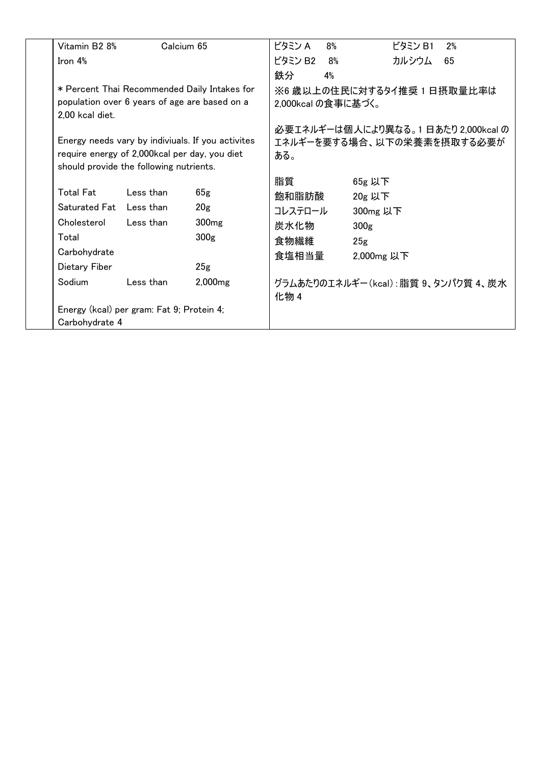| Vitamin B2 8%    | Calcium 65                                     |                                                   | ビタミン A             | 8% | ビタミン B1<br>2%                      |
|------------------|------------------------------------------------|---------------------------------------------------|--------------------|----|------------------------------------|
| Iron $4%$        |                                                |                                                   | ビタミン B2            | 8% | カルシウム<br>65                        |
|                  |                                                |                                                   | 鉄分                 | 4% |                                    |
|                  |                                                | * Percent Thai Recommended Daily Intakes for      |                    |    | ※6 歳以上の住民に対するタイ推奨 1 日摂取量比率は        |
|                  | population over 6 years of age are based on a  |                                                   | 2,000kcal の食事に基づく。 |    |                                    |
| 2,00 kcal diet.  |                                                |                                                   |                    |    |                                    |
|                  |                                                |                                                   |                    |    | 必要エネルギーは個人により異なる。1日あたり 2,000kcal の |
|                  |                                                | Energy needs vary by indiviuals. If you activites |                    |    | エネルギーを要する場合、以下の栄養素を摂取する必要が         |
|                  | require energy of 2,000 kcal per day, you diet |                                                   | ある。                |    |                                    |
|                  | should provide the following nutrients.        |                                                   |                    |    |                                    |
| <b>Total Fat</b> | Less than                                      | 65g                                               | 脂質                 |    | 65g 以下                             |
| Saturated Fat    | Less than                                      |                                                   | 飽和脂肪酸              |    | 20g 以下                             |
|                  |                                                | 20 <sub>g</sub>                                   | コレステロール            |    | 300mg 以下                           |
| Cholesterol      | Less than                                      | 300 <sub>mg</sub>                                 | 炭水化物               |    | 300 <sub>g</sub>                   |
| Total            |                                                | 300 <sub>g</sub>                                  | 食物繊維               |    | 25 <sub>g</sub>                    |
| Carbohydrate     |                                                |                                                   | 食塩相当量              |    | 2,000mg 以下                         |
| Dietary Fiber    |                                                | 25g                                               |                    |    |                                    |
| Sodium           | Less than                                      | $2,000$ mg                                        | 化物 4               |    | グラムあたりのエネルギー(kcal):脂質 9、タンパク質 4、炭水 |
|                  | Energy (kcal) per gram: Fat 9; Protein 4;      |                                                   |                    |    |                                    |
| Carbohydrate 4   |                                                |                                                   |                    |    |                                    |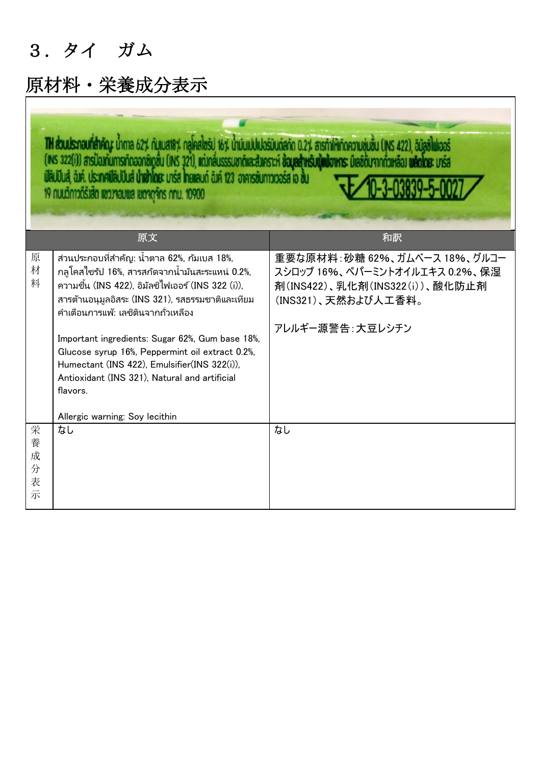### 3.タイ ガム

#### 原材料・栄養成分表示

0-3-03830-5-002

|                            | 原文                                                                                                                                                                                                                                                                                                                                                                                                                                                                                                       | 和訳                                                                                                                                         |  |  |  |
|----------------------------|----------------------------------------------------------------------------------------------------------------------------------------------------------------------------------------------------------------------------------------------------------------------------------------------------------------------------------------------------------------------------------------------------------------------------------------------------------------------------------------------------------|--------------------------------------------------------------------------------------------------------------------------------------------|--|--|--|
| 原<br>材<br>料                | ้ส่วนประกอบที่สำคัญ: น้ำตาล 62%, กัมเบส 18%,<br>ึกลูโคสไซรัป 16%, สารสกัดจากน้ำมันสะระแหน่ 0.2%,<br>ี ความชื้น (INS 422), อิมัลซิไฟเออร์ (INS 322 (i)),<br>สารต้านอนุมูลอิสระ (INS 321), รสธรรมชาติและเทียม<br>้คำเตือนการแพ้: เลซิตินจากถั่วเหลือง<br>Important ingredients: Sugar 62%, Gum base 18%,<br>Glucose syrup 16%, Peppermint oil extract 0.2%,<br>Humectant (INS 422), Emulsifier(INS 322(i)),<br>Antioxidant (INS 321), Natural and artificial<br>flavors.<br>Allergic warning: Soy lecithin | 重要な原材料:砂糖 62%、ガムベース 18%、グルコー<br>スシロップ 16%、ペパーミントオイルエキス 0.2%、保湿<br>剤(INS422)、乳化剤(INS322(i))、酸化防止剤<br>(INS321)、天然および人工香料。<br>アレルギー源警告:大豆レシチン |  |  |  |
| 栄<br>養<br>成<br>分<br>表<br>示 | なし                                                                                                                                                                                                                                                                                                                                                                                                                                                                                                       | なし                                                                                                                                         |  |  |  |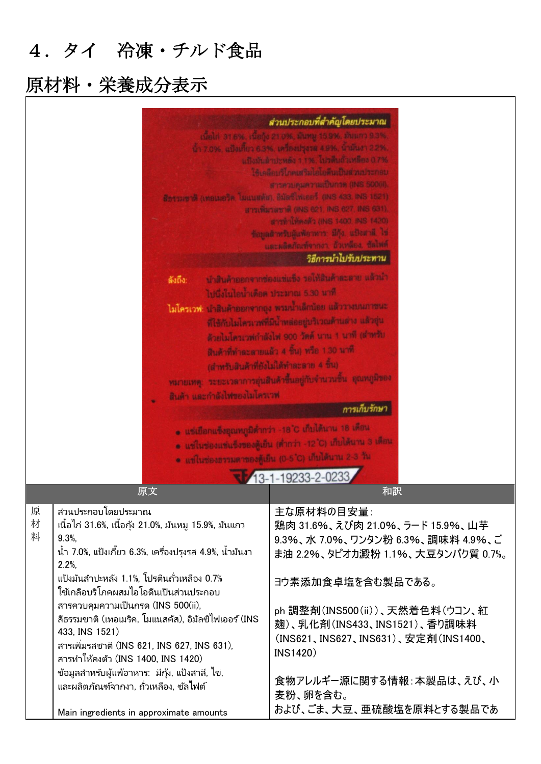### 4.タイ 冷凍・チルド食品

|                                                                                                                                                                                                                                                                                                                                                                                                                                                                                                                                                                                                                          |                                         | ส่วนประกอบที่สำคัญโดยประมาณ<br>เนื้อไก่ 316%, เนื้อกุ้ง 21.0%, มันหมู 15.9%, มันแกว 9.3%<br>น้ำ 7.0%, แบ๊งเกี่ยว 6.3%, เครื่องปรุงรส 4.9%, น้ำมันงา 2.2%,<br>นปัจมันผ่าปะหลัง 1.1%, ไปวดีบถ้วเหลือง 0.7%<br>ใช้เคลือบริโภคเสริมไอโอดีนเป็นส่วนประกอบ<br>สารควบคุมความเป็นกรด (INS 500(il).<br>สีทรรมชาติ (เทอเมอริค, โมแนสต์ส), อิมัลซีโฟเออร์ (INS 433, INS 1521)<br>สาวเพิ่มรสชาติ (INS 621, INS 627, INS 631)<br>สารทำให้คงตัว (INS 1400, INS 1420)<br>ข้อมูลสำหรับผู้แพ้อาหาร: มีกุ้ง, แป้งสาลี, ไข่<br>และผลิตภัณฑ์จากงา. ถ้วเหลือง. ซัลไฟต์<br>วิธีการนำไปรับประทาน                                                                                        |
|--------------------------------------------------------------------------------------------------------------------------------------------------------------------------------------------------------------------------------------------------------------------------------------------------------------------------------------------------------------------------------------------------------------------------------------------------------------------------------------------------------------------------------------------------------------------------------------------------------------------------|-----------------------------------------|------------------------------------------------------------------------------------------------------------------------------------------------------------------------------------------------------------------------------------------------------------------------------------------------------------------------------------------------------------------------------------------------------------------------------------------------------------------------------------------------------------------------------------------------------------------------------------------------------------------------------------------------------------------|
|                                                                                                                                                                                                                                                                                                                                                                                                                                                                                                                                                                                                                          |                                         |                                                                                                                                                                                                                                                                                                                                                                                                                                                                                                                                                                                                                                                                  |
|                                                                                                                                                                                                                                                                                                                                                                                                                                                                                                                                                                                                                          | ดังถึง:<br>สินค้า และกำลังไฟของไมโครเวฟ | น้ำสินค้าออกจากข่องแข่แข็ง รอให้สินค้าละลาย แล้วนำ<br>ไปนึ่งในไอน้ำเดือด ประมาณ 5.30 นาที<br>ไม่โครเวฟ: นำสินค้าออกจากอุง พระนำเด็กน้อย แล้ววางบนภาชนะ<br>ที่ใช้กับไมโครเวฟที่มีน้ำหล่ออยู่บริเวณด้านล่าง แล้วอุ่น<br>ด้วยไมโครเวฟกำลังไฟ 900 วัตต์ นาน 1 นาที (สำหรับ<br>สินค้าที่ทำละลายแล้ว 4 ชิ้น) หรือ 1.30 นาที<br>(สำหรับสินค้าที่ยังไม่ได้ทำละลาย 4 ชิ้น)<br>หมายเหตุ: ระยะเวลาการอุ่นสินค้าขึ้นอยู่กับจำนวนชิ้น คุณหภูมิของ<br>การเก็บรักษา<br>๑ แซ่เขือกแข็งอุณหภูมิต่ำกว่า −18 ℃ เก็บได้นาน 18 เดือน<br>● แช่ในช่องแช่แช็งของตู้เย็น (ดำกว่า -12°C) เก็บได้นาน 3 เดือน<br>* แช่ในช่องธรรมดาของดู้เย็น (0-5°C) เก็บได้นาน 2-3 วัน<br>13-1-19233-2-0233 |
|                                                                                                                                                                                                                                                                                                                                                                                                                                                                                                                                                                                                                          | 原文                                      | 和訳                                                                                                                                                                                                                                                                                                                                                                                                                                                                                                                                                                                                                                                               |
| 原<br>ส่วนประกอบโดยประมาณ<br>材<br>ูเนื้อไก่ 31.6%, เนื้อกุ้ง 21.0%, มันหมู 15.9%, มันแกว<br>料<br>9.3%<br>้น้ำ 7.0%, แป้งเกี๊ยว 6.3%, เครื่องปรุงรส 4.9%, น้ำมันงา<br>2.2%<br>แป้งมันสำปะหลัง 1.1%, โปรตีนถั่วเหลือง 0.7%<br>ใช้เกลือบริโภคผสมไอโอดีนเป็นส่วนประกอบ<br>สารควบคุมความเป็นกรด (INS 500(ii),<br>้สีธรรมชาติ (เทอเมริค, โมแนสคัส), อิมัลซิไฟเออร <i>์</i> (INS<br>433, INS 1521)<br>สารเพิ่มรสชาติ (INS 621, INS 627, INS 631),<br>สารทำให้คงตัว (INS 1400, INS 1420)<br>ข้อมูลสำหรับผู้แพ้อาหาร: มีกุ้ง, แป้งสาลี, ไข่,<br>้และผลิตภัณฑ์จากงา, ถั่วเหลือง, ซัลไฟต์<br>Main ingredients in approximate amounts |                                         | 主な原材料の目安量:<br>鶏肉 31.6%、えび肉 21.0%、ラード 15.9%、山芋<br>9.3%、水 7.0%、ワンタン粉 6.3%、調味料 4.9%、ご<br>ま油 2.2%、タピオカ澱粉 1.1%、大豆タンパク質 0.7%。<br>ヨウ素添加食卓塩を含む製品である。<br>ph 調整剤(INS500(ii))、天然着色料(ウコン、紅<br>麹)、乳化剤(INS433、INS1521)、香り調味料<br>(INS621、INS627、INS631)、安定剤(INS1400、<br><b>INS1420)</b><br>食物アレルギー源に関する情報:本製品は、えび、小<br>麦粉、卵を含む。<br>および、ごま、大豆、亜硫酸塩を原料とする製品であ                                                                                                                                                                                                                                                                                                                     |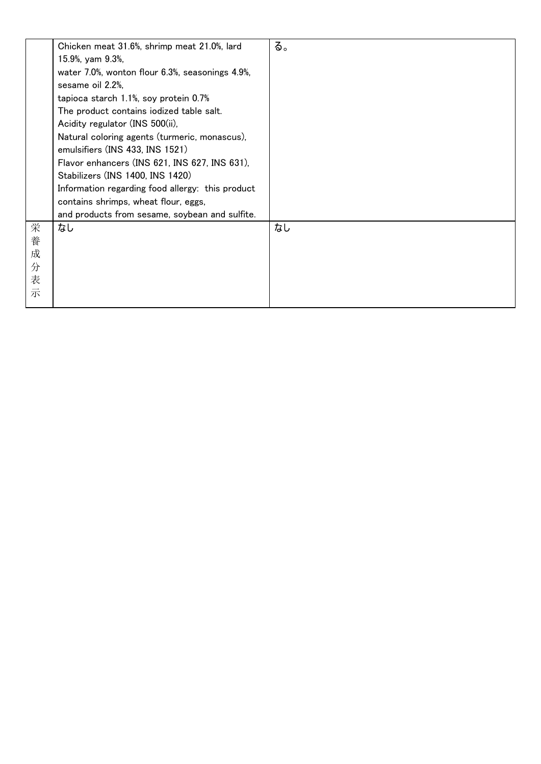|                            | Chicken meat 31.6%, shrimp meat 21.0%, lard<br>15.9%, yam 9.3%,<br>water 7.0%, wonton flour 6.3%, seasonings 4.9%,<br>sesame oil 2.2%,<br>tapioca starch 1.1%, soy protein 0.7%<br>The product contains iodized table salt.<br>Acidity regulator (INS 500(ii),<br>Natural coloring agents (turmeric, monascus),<br>emulsifiers (INS 433, INS 1521)<br>Flavor enhancers (INS 621, INS 627, INS 631),<br>Stabilizers (INS 1400, INS 1420)<br>Information regarding food allergy: this product<br>contains shrimps, wheat flour, eggs, | る。 |
|----------------------------|-------------------------------------------------------------------------------------------------------------------------------------------------------------------------------------------------------------------------------------------------------------------------------------------------------------------------------------------------------------------------------------------------------------------------------------------------------------------------------------------------------------------------------------|----|
|                            | and products from sesame, soybean and sulfite.                                                                                                                                                                                                                                                                                                                                                                                                                                                                                      |    |
| 栄<br>養<br>成<br>分<br>表<br>示 | なし                                                                                                                                                                                                                                                                                                                                                                                                                                                                                                                                  | なし |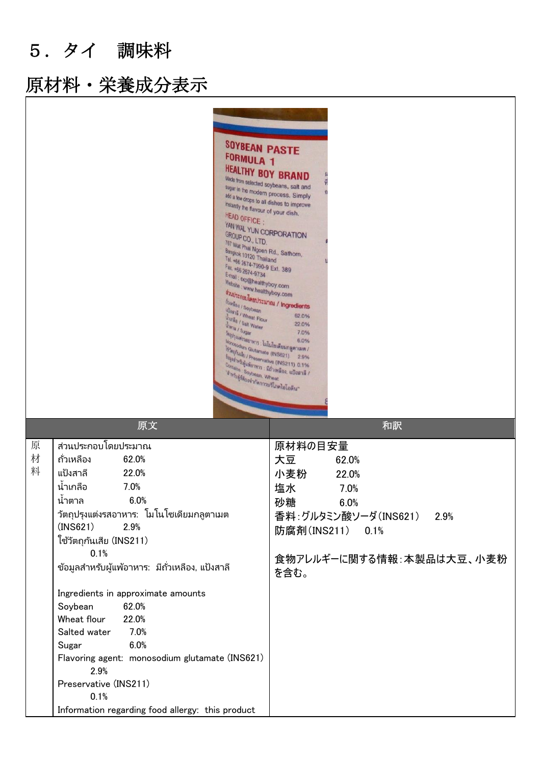5.タイ 調味料

| <b>SOYBEAN PASTE</b><br><b>FORMULA 1</b><br><b>HEALTHY BOY BRAND</b><br>Made from selected soybeans, salt and<br>sugar in the modern process. Simply<br>add a few drops to all dishes to improve<br>instantly the flavour of your dish.<br>HEAD OFFICE :<br>YAN WAL YUN CORPORATION<br>GROUP CO., LTD.<br>767 Wat Phai Ngoen Rd., Sathorn,<br>Bangkok 10120 Thailand<br>Tel. +66 2674-7990-9 Ext. 389<br>Fax. +66 2674-9734<br>E-mail: exp@healthyboy.com<br>Website : www.healthyboy.com<br>ต่างประกอบโดยประมาณ / Ingredients<br>frinting / Soybean<br>ubani / Wheat Flour<br><b>Uning / Salt Water</b><br><b>Uma / Sugar</b><br><sup>วัล</sup> ญปรุงแต่งวสอาหาร : ไมโนโซเดียมกลูตาเมต /<br>Monosodium Glutamate (INS621) 29%<br><b>Example 10 Automation (INSOR)</b><br>Example 10 / Preservative (INS211) 0.1%<br>ร <sub>ี่ยันลูกสำหรับคู้แพ้อาหาร มีถ้วเหลือง แป้งสาลี /<br/>Construction : มีถ้วเหลือง แป้งสาลี /</sub><br>Contains Soybean, Wheat<br>"สำหรับผู้ที่ต้องจำกัดการบริโภคไอโอดีน" | 62.0%<br>22.0%                                                                                                                                                |
|----------------------------------------------------------------------------------------------------------------------------------------------------------------------------------------------------------------------------------------------------------------------------------------------------------------------------------------------------------------------------------------------------------------------------------------------------------------------------------------------------------------------------------------------------------------------------------------------------------------------------------------------------------------------------------------------------------------------------------------------------------------------------------------------------------------------------------------------------------------------------------------------------------------------------------------------------------------------------------------------------|---------------------------------------------------------------------------------------------------------------------------------------------------------------|
| 原文                                                                                                                                                                                                                                                                                                                                                                                                                                                                                                                                                                                                                                                                                                                                                                                                                                                                                                                                                                                                 | 和訳                                                                                                                                                            |
| ส่วนประกอบโดยประมาณ<br>原<br>材<br>ถั่วเหลือง<br>62.0%<br>料<br>แป้งสาลี<br>22.0%<br>น้ำเกลือ<br>7.0%<br>6.0%<br>นำตาล<br>วัตถุปรุงแต่งรสอาหาร: โมโนโซเดียมกลูตาเมต<br>(INS621)<br>2.9%<br>ใช้วัตถุกันเสีย (INS211)<br>0.1%<br>ข้อมูลสำหรับผู้แพ้อาหาร: มีถั่วเหลือง, แป้งสาลี<br>Ingredients in approximate amounts<br>Soybean<br>62.0%<br>Wheat flour<br>22.0%<br>7.0%<br>Salted water<br>6.0%<br>Sugar<br>Flavoring agent: monosodium glutamate (INS621)<br>2.9%<br>Preservative (INS211)<br>0.1%<br>Information regarding food allergy: this product                                                                                                                                                                                                                                                                                                                                                                                                                                              | 原材料の目安量<br>大豆<br>62.0%<br>小麦粉<br>22.0%<br>塩水<br>7.0%<br>砂糖<br>6.0%<br>香料:グルタミン酸ソーダ(INS621)<br>2.9%<br>防腐剤(INS211)<br>0.1%<br>食物アレルギーに関する情報:本製品は大豆、小麦粉<br>を含む。 |